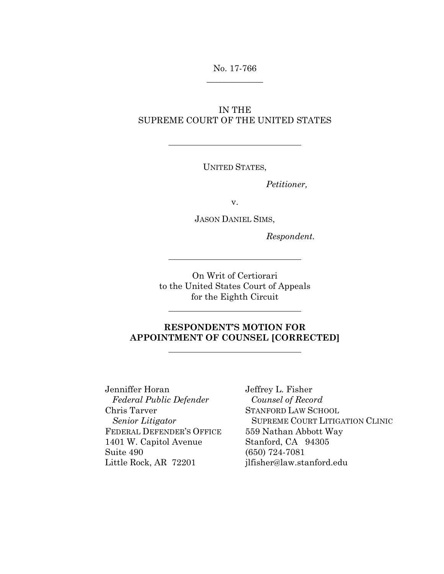## No. 17-766  $\overline{\phantom{a}}$  , where  $\overline{\phantom{a}}$

### IN THE SUPREME COURT OF THE UNITED STATES

UNITED STATES,

*Petitioner,*

v.

JASON DANIEL SIMS,

*Respondent.*

On Writ of Certiorari to the United States Court of Appeals for the Eighth Circuit

## **RESPONDENT'S MOTION FOR APPOINTMENT OF COUNSEL [CORRECTED]**

Jenniffer Horan *Federal Public Defender* Chris Tarver *Senior Litigator* FEDERAL DEFENDER'S OFFICE 1401 W. Capitol Avenue Suite 490 Little Rock, AR 72201

Jeffrey L. Fisher *Counsel of Record* STANFORD LAW SCHOOL SUPREME COURT LITIGATION CLINIC 559 Nathan Abbott Way Stanford, CA 94305 (650) 724-7081 jlfisher@law.stanford.edu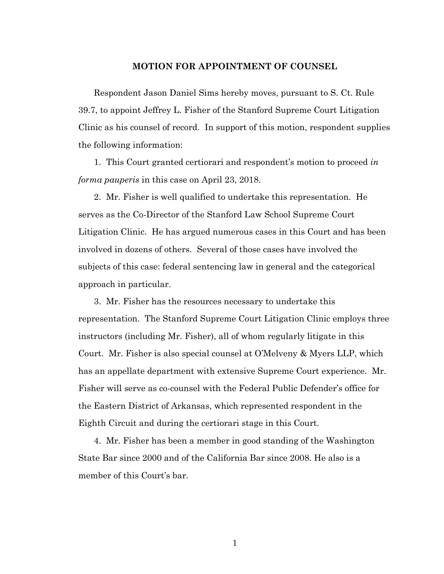#### **MOTION FOR APPOINTMENT OF COUNSEL**

Respondent Jason Daniel Sims hereby moves, pursuant to S. Ct. Rule 39.7, to appoint Jeffrey L. Fisher of the Stanford Supreme Court Litigation Clinic as his counsel of record. In support of this motion, respondent supplies the following information:

1. This Court granted certiorari and respondent's motion to proceed *in forma pauperis* in this case on April 23, 2018.

2. Mr. Fisher is well qualified to undertake this representation. He serves as the Co-Director of the Stanford Law School Supreme Court Litigation Clinic. He has argued numerous cases in this Court and has been involved in dozens of others. Several of those cases have involved the subjects of this case: federal sentencing law in general and the categorical approach in particular.

3. Mr. Fisher has the resources necessary to undertake this representation. The Stanford Supreme Court Litigation Clinic employs three instructors (including Mr. Fisher), all of whom regularly litigate in this Court. Mr. Fisher is also special counsel at O'Melveny & Myers LLP, which has an appellate department with extensive Supreme Court experience. Mr. Fisher will serve as co-counsel with the Federal Public Defender's office for the Eastern District of Arkansas, which represented respondent in the Eighth Circuit and during the certiorari stage in this Court.

4. Mr. Fisher has been a member in good standing of the Washington State Bar since 2000 and of the California Bar since 2008. He also is a member of this Court's bar.

1